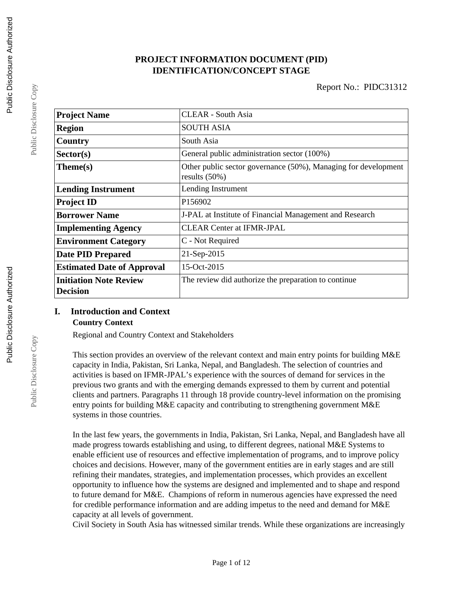# **PROJECT INFORMATION DOCUMENT (PID) IDENTIFICATION/CONCEPT STAGE**

| <b>Project Name</b>                              | <b>CLEAR - South Asia</b>                                                          |  |  |
|--------------------------------------------------|------------------------------------------------------------------------------------|--|--|
| <b>Region</b>                                    | <b>SOUTH ASIA</b>                                                                  |  |  |
| Country                                          | South Asia                                                                         |  |  |
| Sector(s)                                        | General public administration sector (100%)                                        |  |  |
| $Thene(s)$                                       | Other public sector governance (50%), Managing for development<br>results $(50\%)$ |  |  |
| <b>Lending Instrument</b>                        | Lending Instrument                                                                 |  |  |
| <b>Project ID</b>                                | P156902                                                                            |  |  |
| <b>Borrower Name</b>                             | J-PAL at Institute of Financial Management and Research                            |  |  |
| <b>Implementing Agency</b>                       | <b>CLEAR Center at IFMR-JPAL</b>                                                   |  |  |
| <b>Environment Category</b>                      | C - Not Required                                                                   |  |  |
| <b>Date PID Prepared</b>                         | 21-Sep-2015                                                                        |  |  |
| <b>Estimated Date of Approval</b>                | 15-Oct-2015                                                                        |  |  |
| <b>Initiation Note Review</b><br><b>Decision</b> | The review did authorize the preparation to continue                               |  |  |

# **I. Introduction and Context**

### **Country Context**

Regional and Country Context and Stakeholders

This section provides an overview of the relevant context and main entry points for building M&E capacity in India, Pakistan, Sri Lanka, Nepal, and Bangladesh. The selection of countries and activities is based on IFMR-JPAL's experience with the sources of demand for services in the previous two grants and with the emerging demands expressed to them by current and potential clients and partners. Paragraphs 11 through 18 provide country-level information on the promising entry points for building M&E capacity and contributing to strengthening government M&E systems in those countries.

In the last few years, the governments in India, Pakistan, Sri Lanka, Nepal, and Bangladesh have all made progress towards establishing and using, to different degrees, national M&E Systems to enable efficient use of resources and effective implementation of programs, and to improve policy choices and decisions. However, many of the government entities are in early stages and are still refining their mandates, strategies, and implementation processes, which provides an excellent opportunity to influence how the systems are designed and implemented and to shape and respond to future demand for M&E. Champions of reform in numerous agencies have expressed the need for credible performance information and are adding impetus to the need and demand for M&E capacity at all levels of government.

Civil Society in South Asia has witnessed similar trends. While these organizations are increasingly

Public Disclosure Copy

Public Disclosure Copy

Public Disclosure Copy

Public Disclosure Copy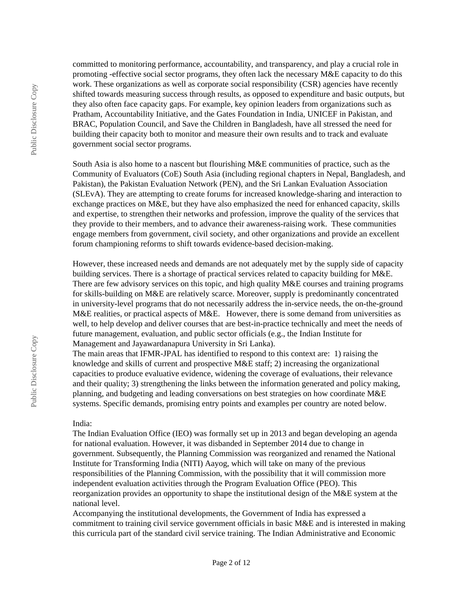committed to monitoring performance, accountability, and transparency, and play a crucial role in promoting -effective social sector programs, they often lack the necessary M&E capacity to do this work. These organizations as well as corporate social responsibility (CSR) agencies have recently shifted towards measuring success through results, as opposed to expenditure and basic outputs, but they also often face capacity gaps. For example, key opinion leaders from organizations such as Pratham, Accountability Initiative, and the Gates Foundation in India, UNICEF in Pakistan, and BRAC, Population Council, and Save the Children in Bangladesh, have all stressed the need for building their capacity both to monitor and measure their own results and to track and evaluate government social sector programs.

South Asia is also home to a nascent but flourishing M&E communities of practice, such as the Community of Evaluators (CoE) South Asia (including regional chapters in Nepal, Bangladesh, and Pakistan), the Pakistan Evaluation Network (PEN), and the Sri Lankan Evaluation Association (SLEvA). They are attempting to create forums for increased knowledge-sharing and interaction to exchange practices on M&E, but they have also emphasized the need for enhanced capacity, skills and expertise, to strengthen their networks and profession, improve the quality of the services that they provide to their members, and to advance their awareness-raising work. These communities engage members from government, civil society, and other organizations and provide an excellent forum championing reforms to shift towards evidence-based decision-making.

However, these increased needs and demands are not adequately met by the supply side of capacity building services. There is a shortage of practical services related to capacity building for M&E. There are few advisory services on this topic, and high quality M&E courses and training programs for skills-building on M&E are relatively scarce. Moreover, supply is predominantly concentrated in university-level programs that do not necessarily address the in-service needs, the on-the-ground M&E realities, or practical aspects of M&E. However, there is some demand from universities as well, to help develop and deliver courses that are best-in-practice technically and meet the needs of future management, evaluation, and public sector officials (e.g., the Indian Institute for Management and Jayawardanapura University in Sri Lanka).

The main areas that IFMR-JPAL has identified to respond to this context are: 1) raising the knowledge and skills of current and prospective M&E staff; 2) increasing the organizational capacities to produce evaluative evidence, widening the coverage of evaluations, their relevance and their quality; 3) strengthening the links between the information generated and policy making, planning, and budgeting and leading conversations on best strategies on how coordinate M&E systems. Specific demands, promising entry points and examples per country are noted below.

#### India:

The Indian Evaluation Office (IEO) was formally set up in 2013 and began developing an agenda for national evaluation. However, it was disbanded in September 2014 due to change in government. Subsequently, the Planning Commission was reorganized and renamed the National Institute for Transforming India (NITI) Aayog, which will take on many of the previous responsibilities of the Planning Commission, with the possibility that it will commission more independent evaluation activities through the Program Evaluation Office (PEO). This reorganization provides an opportunity to shape the institutional design of the M&E system at the national level.

Accompanying the institutional developments, the Government of India has expressed a commitment to training civil service government officials in basic M&E and is interested in making this curricula part of the standard civil service training. The Indian Administrative and Economic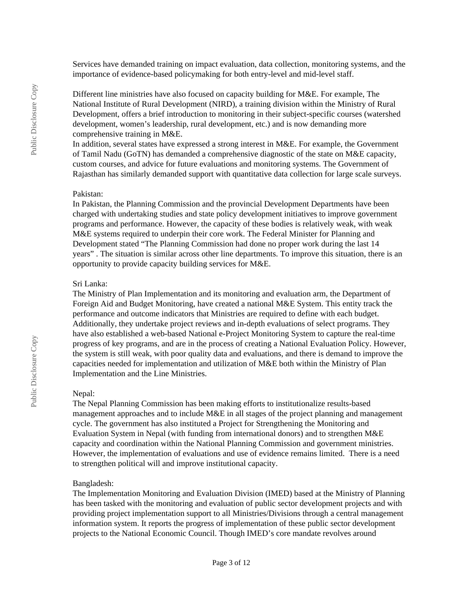Services have demanded training on impact evaluation, data collection, monitoring systems, and the importance of evidence-based policymaking for both entry-level and mid-level staff.

Different line ministries have also focused on capacity building for M&E. For example, The National Institute of Rural Development (NIRD), a training division within the Ministry of Rural Development, offers a brief introduction to monitoring in their subject-specific courses (watershed development, women's leadership, rural development, etc.) and is now demanding more comprehensive training in M&E.

In addition, several states have expressed a strong interest in M&E. For example, the Government of Tamil Nadu (GoTN) has demanded a comprehensive diagnostic of the state on M&E capacity, custom courses, and advice for future evaluations and monitoring systems. The Government of Rajasthan has similarly demanded support with quantitative data collection for large scale surveys.

#### Pakistan:

In Pakistan, the Planning Commission and the provincial Development Departments have been charged with undertaking studies and state policy development initiatives to improve government programs and performance. However, the capacity of these bodies is relatively weak, with weak M&E systems required to underpin their core work. The Federal Minister for Planning and Development stated "The Planning Commission had done no proper work during the last 14 years" . The situation is similar across other line departments. To improve this situation, there is an opportunity to provide capacity building services for M&E.

#### Sri Lanka:

The Ministry of Plan Implementation and its monitoring and evaluation arm, the Department of Foreign Aid and Budget Monitoring, have created a national M&E System. This entity track the performance and outcome indicators that Ministries are required to define with each budget. Additionally, they undertake project reviews and in-depth evaluations of select programs. They have also established a web-based National e-Project Monitoring System to capture the real-time progress of key programs, and are in the process of creating a National Evaluation Policy. However, the system is still weak, with poor quality data and evaluations, and there is demand to improve the capacities needed for implementation and utilization of M&E both within the Ministry of Plan Implementation and the Line Ministries.

#### Nepal:

The Nepal Planning Commission has been making efforts to institutionalize results-based management approaches and to include M&E in all stages of the project planning and management cycle. The government has also instituted a Project for Strengthening the Monitoring and Evaluation System in Nepal (with funding from international donors) and to strengthen M&E capacity and coordination within the National Planning Commission and government ministries. However, the implementation of evaluations and use of evidence remains limited. There is a need to strengthen political will and improve institutional capacity.

#### Bangladesh:

The Implementation Monitoring and Evaluation Division (IMED) based at the Ministry of Planning has been tasked with the monitoring and evaluation of public sector development projects and with providing project implementation support to all Ministries/Divisions through a central management information system. It reports the progress of implementation of these public sector development projects to the National Economic Council. Though IMED's core mandate revolves around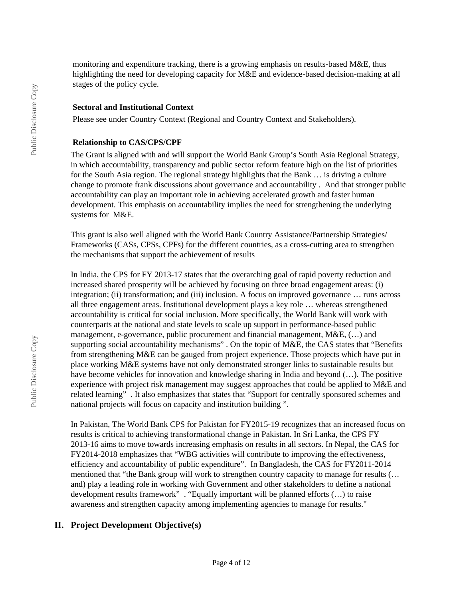monitoring and expenditure tracking, there is a growing emphasis on results-based M&E, thus highlighting the need for developing capacity for M&E and evidence-based decision-making at all stages of the policy cycle.

#### **Sectoral and Institutional Context**

Please see under Country Context (Regional and Country Context and Stakeholders).

#### **Relationship to CAS/CPS/CPF**

The Grant is aligned with and will support the World Bank Group's South Asia Regional Strategy, in which accountability, transparency and public sector reform feature high on the list of priorities for the South Asia region. The regional strategy highlights that the Bank … is driving a culture change to promote frank discussions about governance and accountability . And that stronger public accountability can play an important role in achieving accelerated growth and faster human development. This emphasis on accountability implies the need for strengthening the underlying systems for M&E.

This grant is also well aligned with the World Bank Country Assistance/Partnership Strategies/ Frameworks (CASs, CPSs, CPFs) for the different countries, as a cross-cutting area to strengthen the mechanisms that support the achievement of results

In India, the CPS for FY 2013-17 states that the overarching goal of rapid poverty reduction and increased shared prosperity will be achieved by focusing on three broad engagement areas: (i) integration; (ii) transformation; and (iii) inclusion. A focus on improved governance … runs across all three engagement areas. Institutional development plays a key role … whereas strengthened accountability is critical for social inclusion. More specifically, the World Bank will work with counterparts at the national and state levels to scale up support in performance-based public management, e-governance, public procurement and financial management, M&E, (…) and supporting social accountability mechanisms" . On the topic of M&E, the CAS states that "Benefits from strengthening M&E can be gauged from project experience. Those projects which have put in place working M&E systems have not only demonstrated stronger links to sustainable results but have become vehicles for innovation and knowledge sharing in India and beyond  $(...)$ . The positive experience with project risk management may suggest approaches that could be applied to  $M\&E$  and related learning" . It also emphasizes that states that "Support for centrally sponsored schemes and national projects will focus on capacity and institution building ".

In Pakistan, The World Bank CPS for Pakistan for FY2015-19 recognizes that an increased focus on results is critical to achieving transformational change in Pakistan. In Sri Lanka, the CPS FY 2013-16 aims to move towards increasing emphasis on results in all sectors. In Nepal, the CAS for FY2014-2018 emphasizes that "WBG activities will contribute to improving the effectiveness, efficiency and accountability of public expenditure". In Bangladesh, the CAS for FY2011-2014 mentioned that "the Bank group will work to strengthen country capacity to manage for results (… and) play a leading role in working with Government and other stakeholders to define a national development results framework" . "Equally important will be planned efforts (…) to raise awareness and strengthen capacity among implementing agencies to manage for results."

# **II. Project Development Objective(s)**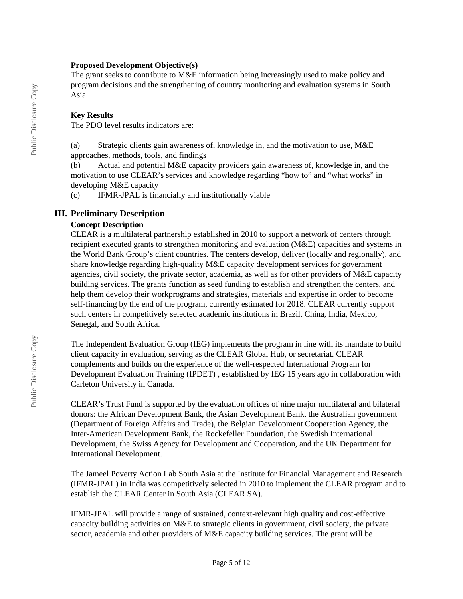#### **Proposed Development Objective(s)**

The grant seeks to contribute to M&E information being increasingly used to make policy and program decisions and the strengthening of country monitoring and evaluation systems in South Asia.

### **Key Results**

The PDO level results indicators are:

(a) Strategic clients gain awareness of, knowledge in, and the motivation to use, M&E approaches, methods, tools, and findings

(b) Actual and potential M&E capacity providers gain awareness of, knowledge in, and the motivation to use CLEAR's services and knowledge regarding "how to" and "what works" in developing M&E capacity

(c) IFMR-JPAL is financially and institutionally viable

## **III. Preliminary Description**

## **Concept Description**

CLEAR is a multilateral partnership established in 2010 to support a network of centers through recipient executed grants to strengthen monitoring and evaluation (M&E) capacities and systems in the World Bank Group's client countries. The centers develop, deliver (locally and regionally), and share knowledge regarding high-quality M&E capacity development services for government agencies, civil society, the private sector, academia, as well as for other providers of M&E capacity building services. The grants function as seed funding to establish and strengthen the centers, and help them develop their workprograms and strategies, materials and expertise in order to become self-financing by the end of the program, currently estimated for 2018. CLEAR currently support such centers in competitively selected academic institutions in Brazil, China, India, Mexico, Senegal, and South Africa.

The Independent Evaluation Group (IEG) implements the program in line with its mandate to build client capacity in evaluation, serving as the CLEAR Global Hub, or secretariat. CLEAR complements and builds on the experience of the well-respected International Program for Development Evaluation Training (IPDET) , established by IEG 15 years ago in collaboration with Carleton University in Canada.

CLEAR's Trust Fund is supported by the evaluation offices of nine major multilateral and bilateral donors: the African Development Bank, the Asian Development Bank, the Australian government (Department of Foreign Affairs and Trade), the Belgian Development Cooperation Agency, the Inter-American Development Bank, the Rockefeller Foundation, the Swedish International Development, the Swiss Agency for Development and Cooperation, and the UK Department for International Development.

The Jameel Poverty Action Lab South Asia at the Institute for Financial Management and Research (IFMR-JPAL) in India was competitively selected in 2010 to implement the CLEAR program and to establish the CLEAR Center in South Asia (CLEAR SA).

IFMR-JPAL will provide a range of sustained, context-relevant high quality and cost-effective capacity building activities on M&E to strategic clients in government, civil society, the private sector, academia and other providers of M&E capacity building services. The grant will be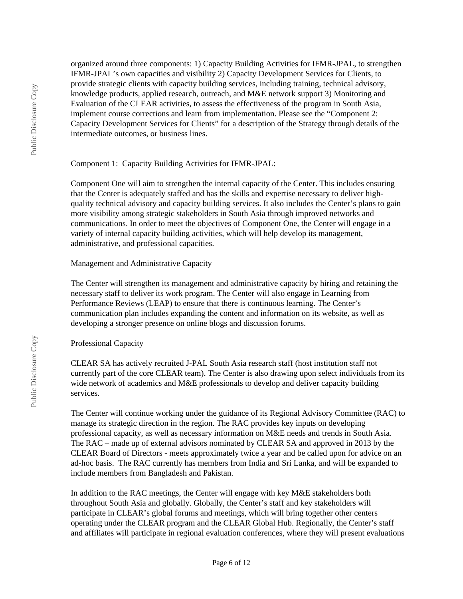organized around three components: 1) Capacity Building Activities for IFMR-JPAL, to strengthen IFMR-JPAL's own capacities and visibility 2) Capacity Development Services for Clients, to provide strategic clients with capacity building services, including training, technical advisory, knowledge products, applied research, outreach, and M&E network support 3) Monitoring and Evaluation of the CLEAR activities, to assess the effectiveness of the program in South Asia, implement course corrections and learn from implementation. Please see the "Component 2: Capacity Development Services for Clients" for a description of the Strategy through details of the intermediate outcomes, or business lines.

## Component 1: Capacity Building Activities for IFMR-JPAL:

Component One will aim to strengthen the internal capacity of the Center. This includes ensuring that the Center is adequately staffed and has the skills and expertise necessary to deliver highquality technical advisory and capacity building services. It also includes the Center's plans to gain more visibility among strategic stakeholders in South Asia through improved networks and communications. In order to meet the objectives of Component One, the Center will engage in a variety of internal capacity building activities, which will help develop its management, administrative, and professional capacities.

## Management and Administrative Capacity

The Center will strengthen its management and administrative capacity by hiring and retaining the necessary staff to deliver its work program. The Center will also engage in Learning from Performance Reviews (LEAP) to ensure that there is continuous learning. The Center's communication plan includes expanding the content and information on its website, as well as developing a stronger presence on online blogs and discussion forums.

# Professional Capacity

CLEAR SA has actively recruited J-PAL South Asia research staff (host institution staff not currently part of the core CLEAR team). The Center is also drawing upon select individuals from its wide network of academics and M&E professionals to develop and deliver capacity building services.

The Center will continue working under the guidance of its Regional Advisory Committee (RAC) to manage its strategic direction in the region. The RAC provides key inputs on developing professional capacity, as well as necessary information on M&E needs and trends in South Asia. The RAC – made up of external advisors nominated by CLEAR SA and approved in 2013 by the CLEAR Board of Directors - meets approximately twice a year and be called upon for advice on an ad-hoc basis. The RAC currently has members from India and Sri Lanka, and will be expanded to include members from Bangladesh and Pakistan.

In addition to the RAC meetings, the Center will engage with key M&E stakeholders both throughout South Asia and globally. Globally, the Center's staff and key stakeholders will participate in CLEAR's global forums and meetings, which will bring together other centers operating under the CLEAR program and the CLEAR Global Hub. Regionally, the Center's staff and affiliates will participate in regional evaluation conferences, where they will present evaluations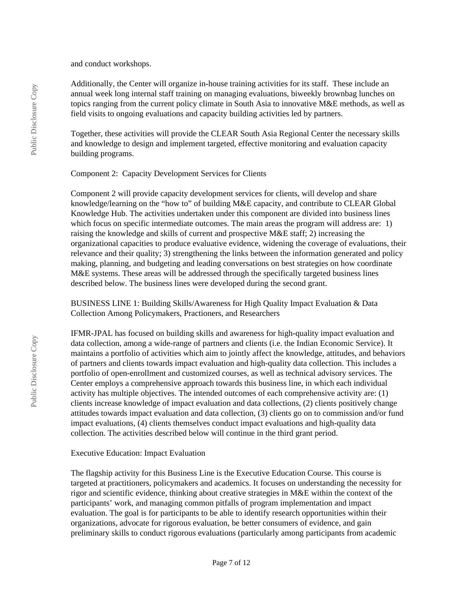and conduct workshops.

Additionally, the Center will organize in-house training activities for its staff. These include an annual week long internal staff training on managing evaluations, biweekly brownbag lunches on topics ranging from the current policy climate in South Asia to innovative M&E methods, as well as field visits to ongoing evaluations and capacity building activities led by partners.

Together, these activities will provide the CLEAR South Asia Regional Center the necessary skills and knowledge to design and implement targeted, effective monitoring and evaluation capacity building programs.

Component 2: Capacity Development Services for Clients

Component 2 will provide capacity development services for clients, will develop and share knowledge/learning on the "how to" of building M&E capacity, and contribute to CLEAR Global Knowledge Hub. The activities undertaken under this component are divided into business lines which focus on specific intermediate outcomes. The main areas the program will address are: 1) raising the knowledge and skills of current and prospective M&E staff; 2) increasing the organizational capacities to produce evaluative evidence, widening the coverage of evaluations, their relevance and their quality; 3) strengthening the links between the information generated and policy making, planning, and budgeting and leading conversations on best strategies on how coordinate M&E systems. These areas will be addressed through the specifically targeted business lines described below. The business lines were developed during the second grant.

BUSINESS LINE 1: Building Skills/Awareness for High Quality Impact Evaluation & Data Collection Among Policymakers, Practioners, and Researchers

IFMR-JPAL has focused on building skills and awareness for high-quality impact evaluation and data collection, among a wide-range of partners and clients (i.e. the Indian Economic Service). It maintains a portfolio of activities which aim to jointly affect the knowledge, attitudes, and behaviors of partners and clients towards impact evaluation and high-quality data collection. This includes a portfolio of open-enrollment and customized courses, as well as technical advisory services. The Center employs a comprehensive approach towards this business line, in which each individual activity has multiple objectives. The intended outcomes of each comprehensive activity are: (1) clients increase knowledge of impact evaluation and data collections, (2) clients positively change attitudes towards impact evaluation and data collection, (3) clients go on to commission and/or fund impact evaluations, (4) clients themselves conduct impact evaluations and high-quality data collection. The activities described below will continue in the third grant period.

### Executive Education: Impact Evaluation

The flagship activity for this Business Line is the Executive Education Course. This course is targeted at practitioners, policymakers and academics. It focuses on understanding the necessity for rigor and scientific evidence, thinking about creative strategies in M&E within the context of the participants' work, and managing common pitfalls of program implementation and impact evaluation. The goal is for participants to be able to identify research opportunities within their organizations, advocate for rigorous evaluation, be better consumers of evidence, and gain preliminary skills to conduct rigorous evaluations (particularly among participants from academic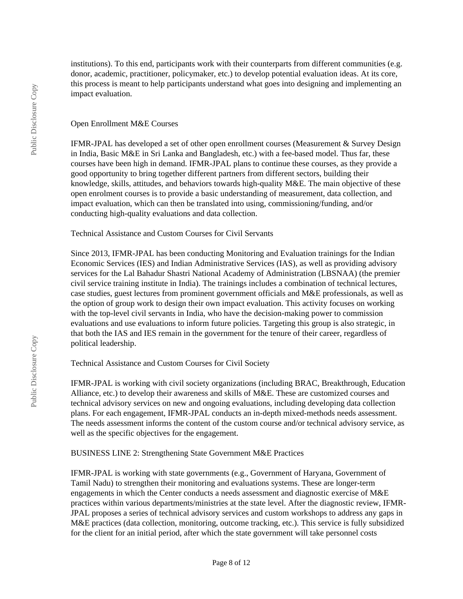institutions). To this end, participants work with their counterparts from different communities (e.g. donor, academic, practitioner, policymaker, etc.) to develop potential evaluation ideas. At its core, this process is meant to help participants understand what goes into designing and implementing an impact evaluation.

## Open Enrollment M&E Courses

IFMR-JPAL has developed a set of other open enrollment courses (Measurement & Survey Design in India, Basic M&E in Sri Lanka and Bangladesh, etc.) with a fee-based model. Thus far, these courses have been high in demand. IFMR-JPAL plans to continue these courses, as they provide a good opportunity to bring together different partners from different sectors, building their knowledge, skills, attitudes, and behaviors towards high-quality M&E. The main objective of these open enrolment courses is to provide a basic understanding of measurement, data collection, and impact evaluation, which can then be translated into using, commissioning/funding, and/or conducting high-quality evaluations and data collection.

Technical Assistance and Custom Courses for Civil Servants

Since 2013, IFMR-JPAL has been conducting Monitoring and Evaluation trainings for the Indian Economic Services (IES) and Indian Administrative Services (IAS), as well as providing advisory services for the Lal Bahadur Shastri National Academy of Administration (LBSNAA) (the premier civil service training institute in India). The trainings includes a combination of technical lectures, case studies, guest lectures from prominent government officials and M&E professionals, as well as the option of group work to design their own impact evaluation. This activity focuses on working with the top-level civil servants in India, who have the decision-making power to commission evaluations and use evaluations to inform future policies. Targeting this group is also strategic, in that both the IAS and IES remain in the government for the tenure of their career, regardless of political leadership.

Technical Assistance and Custom Courses for Civil Society

IFMR-JPAL is working with civil society organizations (including BRAC, Breakthrough, Education Alliance, etc.) to develop their awareness and skills of M&E. These are customized courses and technical advisory services on new and ongoing evaluations, including developing data collection plans. For each engagement, IFMR-JPAL conducts an in-depth mixed-methods needs assessment. The needs assessment informs the content of the custom course and/or technical advisory service, as well as the specific objectives for the engagement.

# BUSINESS LINE 2: Strengthening State Government M&E Practices

IFMR-JPAL is working with state governments (e.g., Government of Haryana, Government of Tamil Nadu) to strengthen their monitoring and evaluations systems. These are longer-term engagements in which the Center conducts a needs assessment and diagnostic exercise of M&E practices within various departments/ministries at the state level. After the diagnostic review, IFMR-JPAL proposes a series of technical advisory services and custom workshops to address any gaps in M&E practices (data collection, monitoring, outcome tracking, etc.). This service is fully subsidized for the client for an initial period, after which the state government will take personnel costs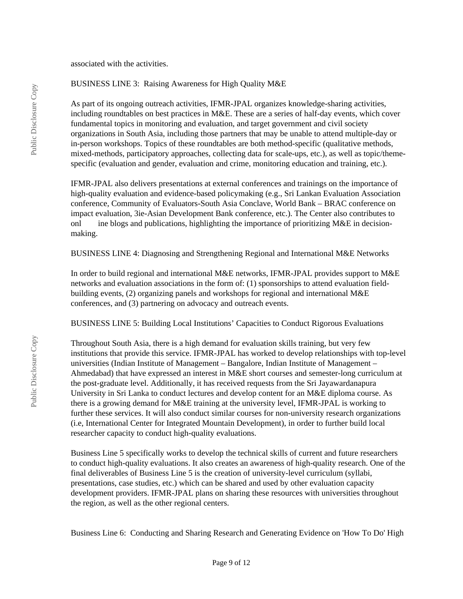associated with the activities.

### BUSINESS LINE 3: Raising Awareness for High Quality M&E

As part of its ongoing outreach activities, IFMR-JPAL organizes knowledge-sharing activities, including roundtables on best practices in M&E. These are a series of half-day events, which cover fundamental topics in monitoring and evaluation, and target government and civil society organizations in South Asia, including those partners that may be unable to attend multiple-day or in-person workshops. Topics of these roundtables are both method-specific (qualitative methods, mixed-methods, participatory approaches, collecting data for scale-ups, etc.), as well as topic/themespecific (evaluation and gender, evaluation and crime, monitoring education and training, etc.).

IFMR-JPAL also delivers presentations at external conferences and trainings on the importance of high-quality evaluation and evidence-based policymaking (e.g., Sri Lankan Evaluation Association conference, Community of Evaluators-South Asia Conclave, World Bank – BRAC conference on impact evaluation, 3ie-Asian Development Bank conference, etc.). The Center also contributes to onl ine blogs and publications, highlighting the importance of prioritizing M&E in decisionmaking.

BUSINESS LINE 4: Diagnosing and Strengthening Regional and International M&E Networks

In order to build regional and international M&E networks, IFMR-JPAL provides support to M&E networks and evaluation associations in the form of: (1) sponsorships to attend evaluation fieldbuilding events, (2) organizing panels and workshops for regional and international M&E conferences, and (3) partnering on advocacy and outreach events.

BUSINESS LINE 5: Building Local Institutions' Capacities to Conduct Rigorous Evaluations

Throughout South Asia, there is a high demand for evaluation skills training, but very few institutions that provide this service. IFMR-JPAL has worked to develop relationships with top-level universities (Indian Institute of Management – Bangalore, Indian Institute of Management – Ahmedabad) that have expressed an interest in M&E short courses and semester-long curriculum at the post-graduate level. Additionally, it has received requests from the Sri Jayawardanapura University in Sri Lanka to conduct lectures and develop content for an M&E diploma course. As there is a growing demand for M&E training at the university level, IFMR-JPAL is working to further these services. It will also conduct similar courses for non-university research organizations (i.e, International Center for Integrated Mountain Development), in order to further build local researcher capacity to conduct high-quality evaluations.

Business Line 5 specifically works to develop the technical skills of current and future researchers to conduct high-quality evaluations. It also creates an awareness of high-quality research. One of the final deliverables of Business Line 5 is the creation of university-level curriculum (syllabi, presentations, case studies, etc.) which can be shared and used by other evaluation capacity development providers. IFMR-JPAL plans on sharing these resources with universities throughout the region, as well as the other regional centers.

Business Line 6: Conducting and Sharing Research and Generating Evidence on 'How To Do' High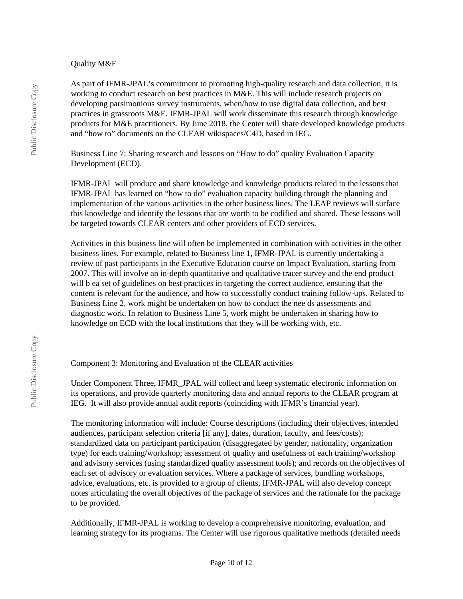### Quality M&E

As part of IFMR-JPAL's commitment to promoting high-quality research and data collection, it is working to conduct research on best practices in M&E. This will include research projects on developing parsimonious survey instruments, when/how to use digital data collection, and best practices in grassroots M&E. IFMR-JPAL will work disseminate this research through knowledge products for M&E practitioners. By June 2018, the Center will share developed knowledge products and "how to" documents on the CLEAR wikispaces/C4D, based in IEG.

Business Line 7: Sharing research and lessons on "How to do" quality Evaluation Capacity Development (ECD).

IFMR-JPAL will produce and share knowledge and knowledge products related to the lessons that IFMR-JPAL has learned on "how to do" evaluation capacity building through the planning and implementation of the various activities in the other business lines. The LEAP reviews will surface this knowledge and identify the lessons that are worth to be codified and shared. These lessons will be targeted towards CLEAR centers and other providers of ECD services.

Activities in this business line will often be implemented in combination with activities in the other business lines. For example, related to Business line 1, IFMR-JPAL is currently undertaking a review of past participants in the Executive Education course on Impact Evaluation, starting from 2007. This will involve an in-depth quantitative and qualitative tracer survey and the end product will b ea set of guidelines on best practices in targeting the correct audience, ensuring that the content is relevant for the audience, and how to successfully conduct training follow-ups. Related to Business Line 2, work might be undertaken on how to conduct the nee ds assessments and diagnostic work. In relation to Business Line 5, work might be undertaken in sharing how to knowledge on ECD with the local institutions that they will be working with, etc.

Component 3: Monitoring and Evaluation of the CLEAR activities

Under Component Three, IFMR\_JPAL will collect and keep systematic electronic information on its operations, and provide quarterly monitoring data and annual reports to the CLEAR program at IEG. It will also provide annual audit reports (coinciding with IFMR's financial year).

The monitoring information will include: Course descriptions (including their objectives, intended audiences, participant selection criteria [if any], dates, duration, faculty, and fees/costs); standardized data on participant participation (disaggregated by gender, nationality, organization type) for each training/workshop; assessment of quality and usefulness of each training/workshop and advisory services (using standardized quality assessment tools); and records on the objectives of each set of advisory or evaluation services. Where a package of services, bundling workshops, advice, evaluations, etc. is provided to a group of clients, IFMR-JPAL will also develop concept notes articulating the overall objectives of the package of services and the rationale for the package to be provided.

Additionally, IFMR-JPAL is working to develop a comprehensive monitoring, evaluation, and learning strategy for its programs. The Center will use rigorous qualitative methods (detailed needs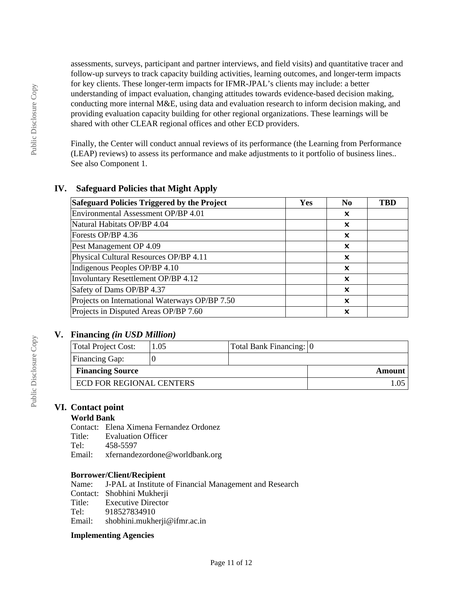assessments, surveys, participant and partner interviews, and field visits) and quantitative tracer and follow-up surveys to track capacity building activities, learning outcomes, and longer-term impacts for key clients. These longer-term impacts for IFMR-JPAL's clients may include: a better understanding of impact evaluation, changing attitudes towards evidence-based decision making, conducting more internal M&E, using data and evaluation research to inform decision making, and providing evaluation capacity building for other regional organizations. These learnings will be shared with other CLEAR regional offices and other ECD providers.

Finally, the Center will conduct annual reviews of its performance (the Learning from Performance (LEAP) reviews) to assess its performance and make adjustments to it portfolio of business lines.. See also Component 1.

# **IV. Safeguard Policies that Might Apply**

| Safeguard Policies Triggered by the Project    | <b>Yes</b> | N <sub>0</sub> | TBD |
|------------------------------------------------|------------|----------------|-----|
| Environmental Assessment OP/BP 4.01            |            | x              |     |
| Natural Habitats OP/BP 4.04                    |            | x              |     |
| Forests OP/BP 4.36                             |            | x              |     |
| Pest Management OP 4.09                        |            | x              |     |
| Physical Cultural Resources OP/BP 4.11         |            | x              |     |
| Indigenous Peoples OP/BP 4.10                  |            | x              |     |
| Involuntary Resettlement OP/BP 4.12            |            | ×              |     |
| Safety of Dams OP/BP 4.37                      |            | X              |     |
| Projects on International Waterways OP/BP 7.50 |            | ×              |     |
| Projects in Disputed Areas OP/BP 7.60          |            | x              |     |

# **V. Financing** *(in USD Million)*

| Total Project Cost:      | 1.05 | Total Bank Financing: 0 |        |
|--------------------------|------|-------------------------|--------|
| Financing Gap:           |      |                         |        |
| <b>Financing Source</b>  |      |                         | Amount |
| ECD FOR REGIONAL CENTERS |      |                         |        |

# **VI. Contact point**

# **World Bank**

Contact: Elena Ximena Fernandez Ordonez **Evaluation Officer** Tel: 458-5597 Email: xfernandezordone@worldbank.org

### **Borrower/Client/Recipient**

Name: J-PAL at Institute of Financial Management and Research Contact: Shobhini Mukherji Title: Executive Director<br>Tel: 918527834910 918527834910 Email: shobhini.mukherji@ifmr.ac.in

### **Implementing Agencies**